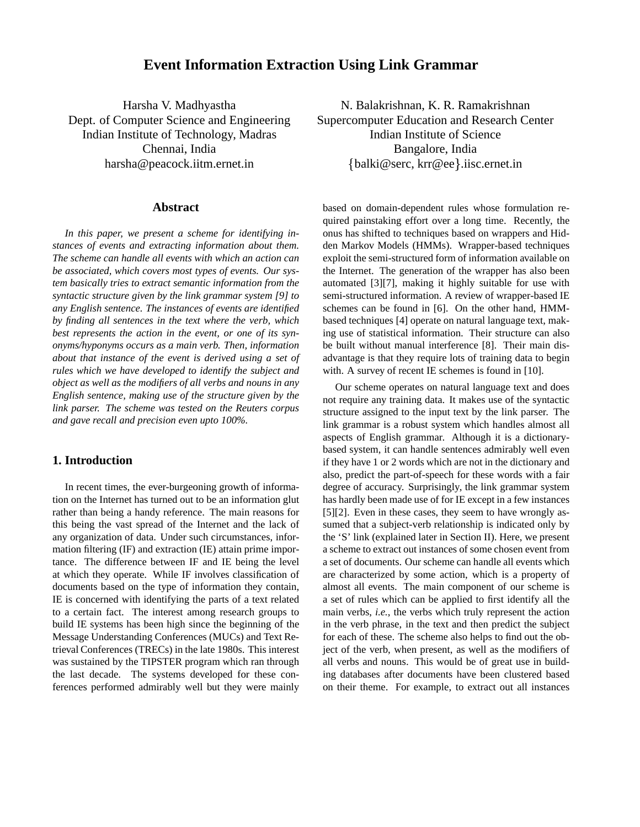# **Event Information Extraction Using Link Grammar**

Harsha V. Madhyastha Dept. of Computer Science and Engineering Indian Institute of Technology, Madras Chennai, India harsha@peacock.iitm.ernet.in

### **Abstract**

*In this paper, we present a scheme for identifying instances of events and extracting information about them. The scheme can handle all events with which an action can be associated, which covers most types of events. Our system basically tries to extract semantic information from the syntactic structure given by the link grammar system [9] to any English sentence. The instances of events are identified by finding all sentences in the text where the verb, which best represents the action in the event, or one of its synonyms/hyponyms occurs as a main verb. Then, information about that instance of the event is derived using a set of rules which we have developed to identify the subject and object as well as the modifiers of all verbs and nouns in any English sentence, making use of the structure given by the link parser. The scheme was tested on the Reuters corpus and gave recall and precision even upto 100%.*

#### **1. Introduction**

In recent times, the ever-burgeoning growth of information on the Internet has turned out to be an information glut rather than being a handy reference. The main reasons for this being the vast spread of the Internet and the lack of any organization of data. Under such circumstances, information filtering (IF) and extraction (IE) attain prime importance. The difference between IF and IE being the level at which they operate. While IF involves classification of documents based on the type of information they contain, IE is concerned with identifying the parts of a text related to a certain fact. The interest among research groups to build IE systems has been high since the beginning of the Message Understanding Conferences (MUCs) and Text Retrieval Conferences (TRECs) in the late 1980s. This interest was sustained by the TIPSTER program which ran through the last decade. The systems developed for these conferences performed admirably well but they were mainly

N. Balakrishnan, K. R. Ramakrishnan Supercomputer Education and Research Center Indian Institute of Science Bangalore, India balki@serc, krr@ee .iisc.ernet.in

based on domain-dependent rules whose formulation required painstaking effort over a long time. Recently, the onus has shifted to techniques based on wrappers and Hidden Markov Models (HMMs). Wrapper-based techniques exploit the semi-structured form of information available on the Internet. The generation of the wrapper has also been automated [3][7], making it highly suitable for use with semi-structured information. A review of wrapper-based IE schemes can be found in [6]. On the other hand, HMMbased techniques [4] operate on natural language text, making use of statistical information. Their structure can also be built without manual interference [8]. Their main disadvantage is that they require lots of training data to begin with. A survey of recent IE schemes is found in [10].

Our scheme operates on natural language text and does not require any training data. It makes use of the syntactic structure assigned to the input text by the link parser. The link grammar is a robust system which handles almost all aspects of English grammar. Although it is a dictionarybased system, it can handle sentences admirably well even if they have 1 or 2 words which are not in the dictionary and also, predict the part-of-speech for these words with a fair degree of accuracy. Surprisingly, the link grammar system has hardly been made use of for IE except in a few instances [5][2]. Even in these cases, they seem to have wrongly assumed that a subject-verb relationship is indicated only by the 'S' link (explained later in Section II). Here, we present a scheme to extract out instances of some chosen event from a set of documents. Our scheme can handle all events which are characterized by some action, which is a property of almost all events. The main component of our scheme is a set of rules which can be applied to first identify all the main verbs, *i.e.*, the verbs which truly represent the action in the verb phrase, in the text and then predict the subject for each of these. The scheme also helps to find out the object of the verb, when present, as well as the modifiers of all verbs and nouns. This would be of great use in building databases after documents have been clustered based on their theme. For example, to extract out all instances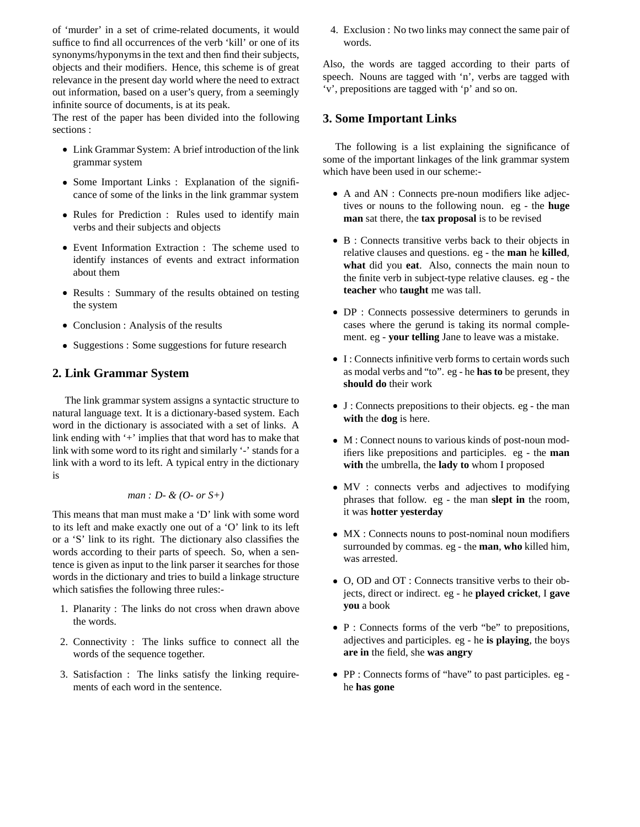of 'murder' in a set of crime-related documents, it would suffice to find all occurrences of the verb 'kill' or one of its synonyms/hyponymsin the text and then find their subjects, objects and their modifiers. Hence, this scheme is of great relevance in the present day world where the need to extract out information, based on a user's query, from a seemingly infinite source of documents, is at its peak.

The rest of the paper has been divided into the following sections :

- Link Grammar System: A brief introduction of the link grammar system
- Some Important Links : Explanation of the significance of some of the links in the link grammar system
- Rules for Prediction : Rules used to identify main verbs and their subjects and objects
- Event Information Extraction : The scheme used to identify instances of events and extract information about them
- Results : Summary of the results obtained on testing the system
- Conclusion : Analysis of the results
- Suggestions : Some suggestions for future research

### **2. Link Grammar System**

The link grammar system assigns a syntactic structure to natural language text. It is a dictionary-based system. Each word in the dictionary is associated with a set of links. A link ending with '+' implies that that word has to make that link with some word to its right and similarly '-' stands for a link with a word to its left. A typical entry in the dictionary is

*man* : *D*- & 
$$
(O
$$
- or  $S$ + $)$ 

This means that man must make a 'D' link with some word to its left and make exactly one out of a 'O' link to its left or a 'S' link to its right. The dictionary also classifies the words according to their parts of speech. So, when a sentence is given as input to the link parser it searches for those words in the dictionary and tries to build a linkage structure which satisfies the following three rules:-

- 1. Planarity : The links do not cross when drawn above the words.
- 2. Connectivity : The links suffice to connect all the words of the sequence together.
- 3. Satisfaction : The links satisfy the linking requirements of each word in the sentence.

4. Exclusion : No two links may connect the same pair of words.

Also, the words are tagged according to their parts of speech. Nouns are tagged with 'n', verbs are tagged with 'v', prepositions are tagged with 'p' and so on.

#### **3. Some Important Links**

The following is a list explaining the significance of some of the important linkages of the link grammar system which have been used in our scheme:-

- A and AN : Connects pre-noun modifiers like adjectives or nouns to the following noun. eg - the **huge man** sat there, the **tax proposal** is to be revised
- B : Connects transitive verbs back to their objects in relative clauses and questions. eg - the **man** he **killed**, **what** did you **eat**. Also, connects the main noun to the finite verb in subject-type relative clauses. eg - the **teacher** who **taught** me was tall.
- DP : Connects possessive determiners to gerunds in cases where the gerund is taking its normal complement. eg - **your telling** Jane to leave was a mistake.
- I : Connects infinitive verb forms to certain words such as modal verbs and "to". eg - he **has to** be present, they **should do** their work
- J : Connects prepositions to their objects. eg the man **with** the **dog** is here.
- M : Connect nouns to various kinds of post-noun modifiers like prepositions and participles. eg - the **man with** the umbrella, the **lady to** whom I proposed
- MV : connects verbs and adjectives to modifying phrases that follow. eg - the man **slept in** the room, it was **hotter yesterday**
- MX : Connects nouns to post-nominal noun modifiers surrounded by commas. eg - the **man**, **who** killed him, was arrested.
- O, OD and OT : Connects transitive verbs to their objects, direct or indirect. eg - he **played cricket**, I **gave you** a book
- P : Connects forms of the verb "be" to prepositions, adjectives and participles. eg - he **is playing**, the boys **are in** the field, she **was angry**
- PP : Connects forms of "have" to past participles. eg he **has gone**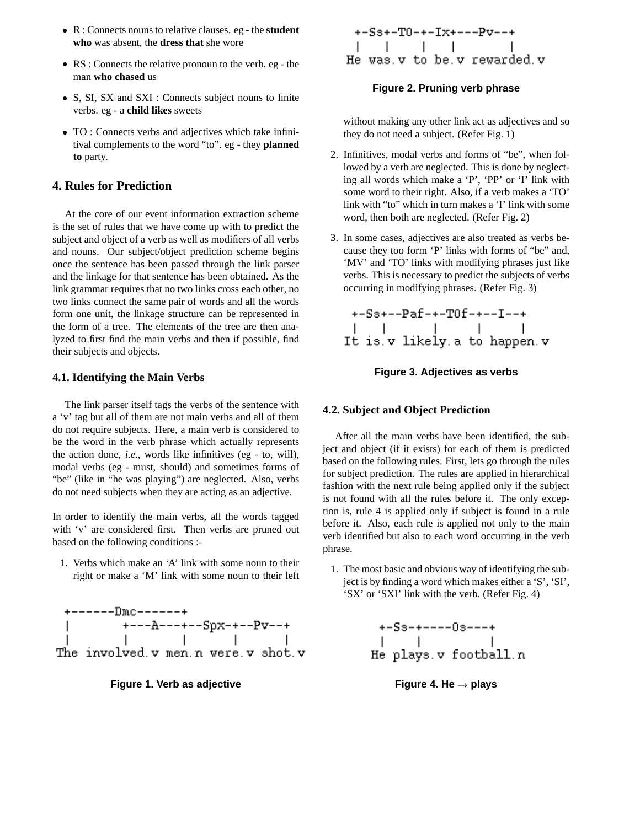- -R : Connects nouns to relative clauses. eg the **student who** was absent, the **dress that** she wore
- RS : Connects the relative pronoun to the verb. eg the man **who chased** us
- S, SI, SX and SXI : Connects subject nouns to finite verbs. eg - a **child likes** sweets
- TO : Connects verbs and adjectives which take infinitival complements to the word "to". eg - they **planned to** party.

## **4. Rules for Prediction**

At the core of our event information extraction scheme is the set of rules that we have come up with to predict the subject and object of a verb as well as modifiers of all verbs and nouns. Our subject/object prediction scheme begins once the sentence has been passed through the link parser and the linkage for that sentence has been obtained. As the link grammar requires that no two links cross each other, no two links connect the same pair of words and all the words form one unit, the linkage structure can be represented in the form of a tree. The elements of the tree are then analyzed to first find the main verbs and then if possible, find their subjects and objects.

### **4.1. Identifying the Main Verbs**

The link parser itself tags the verbs of the sentence with a 'v' tag but all of them are not main verbs and all of them do not require subjects. Here, a main verb is considered to be the word in the verb phrase which actually represents the action done, *i.e.*, words like infinitives (eg - to, will), modal verbs (eg - must, should) and sometimes forms of "be" (like in "he was playing") are neglected. Also, verbs do not need subjects when they are acting as an adjective.

In order to identify the main verbs, all the words tagged with 'v' are considered first. Then verbs are pruned out based on the following conditions :-

1. Verbs which make an 'A' link with some noun to their right or make a 'M' link with some noun to their left





## +-Ss+-T0-+-Ix+---Pv--+  $\begin{array}{ccc} \begin{array}{ccc} \end{array} & \begin{array}{ccc} \end{array} & \begin{array}{ccc} \end{array} & \begin{array}{ccc} \end{array} & \begin{array}{ccc} \end{array} & \begin{array}{ccc} \end{array}$ He was. v to be. v rewarded. v

#### **Figure 2. Pruning verb phrase**

without making any other link act as adjectives and so they do not need a subject. (Refer Fig. 1)

- 2. Infinitives, modal verbs and forms of "be", when followed by a verb are neglected. This is done by neglecting all words which make a 'P', 'PP' or 'I' link with some word to their right. Also, if a verb makes a 'TO' link with "to" which in turn makes a 'I' link with some word, then both are neglected. (Refer Fig. 2)
- 3. In some cases, adjectives are also treated as verbs because they too form 'P' links with forms of "be" and, 'MV' and 'TO' links with modifying phrases just like verbs. This is necessary to predict the subjects of verbs occurring in modifying phrases. (Refer Fig. 3)

| +-Ss+--Paf-+-TOf-+--I--+ |  |                                 |  |  |
|--------------------------|--|---------------------------------|--|--|
|                          |  |                                 |  |  |
|                          |  | It is. v likely. a to happen. v |  |  |



#### **4.2. Subject and Object Prediction**

After all the main verbs have been identified, the subject and object (if it exists) for each of them is predicted based on the following rules. First, lets go through the rules for subject prediction. The rules are applied in hierarchical fashion with the next rule being applied only if the subject is not found with all the rules before it. The only exception is, rule 4 is applied only if subject is found in a rule before it. Also, each rule is applied not only to the main verb identified but also to each word occurring in the verb phrase.

1. The most basic and obvious way of identifying the subject is by finding a word which makes either a 'S', 'SI', 'SX' or 'SXI' link with the verb. (Refer Fig. 4)



**Figure 4. He plays**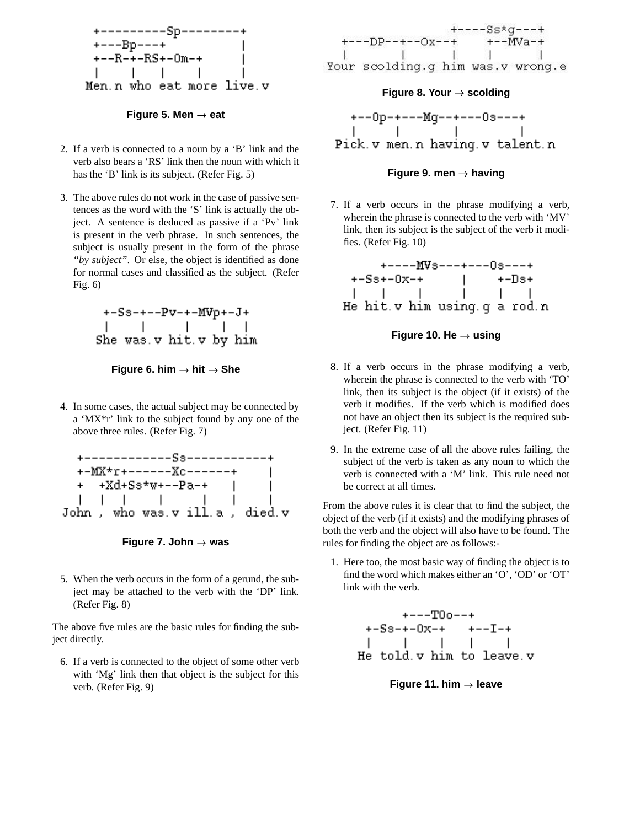

**Figure 5. Men eat**

- 2. If a verb is connected to a noun by a 'B' link and the verb also bears a 'RS' link then the noun with which it has the 'B' link is its subject. (Refer Fig. 5)
- 3. The above rules do not work in the case of passive sentences as the word with the 'S' link is actually the object. A sentence is deduced as passive if a 'Pv' link is present in the verb phrase. In such sentences, the subject is usually present in the form of the phrase *"by subject"*. Or else, the object is identified as done for normal cases and classified as the subject. (Refer Fig. 6)

$$
+ -Ss-+--Py-+-MVp+-J+|-||-|+|-|
$$
  
She was. v hit. v by him



4. In some cases, the actual subject may be connected by a 'MX\*r' link to the subject found by any one of the above three rules. (Refer Fig. 7)





5. When the verb occurs in the form of a gerund, the subject may be attached to the verb with the 'DP' link. (Refer Fig. 8)

The above five rules are the basic rules for finding the subject directly.

6. If a verb is connected to the object of some other verb with 'Mg' link then that object is the subject for this verb. (Refer Fig. 9)



#### **Figure 8. Your scolding**

#### **Figure 9. men having**

7. If a verb occurs in the phrase modifying a verb, wherein the phrase is connected to the verb with 'MV' link, then its subject is the subject of the verb it modifies. (Refer Fig. 10)





- 8. If a verb occurs in the phrase modifying a verb, wherein the phrase is connected to the verb with 'TO' link, then its subject is the object (if it exists) of the verb it modifies. If the verb which is modified does not have an object then its subject is the required subject. (Refer Fig. 11)
- 9. In the extreme case of all the above rules failing, the subject of the verb is taken as any noun to which the verb is connected with a 'M' link. This rule need not be correct at all times.

From the above rules it is clear that to find the subject, the object of the verb (if it exists) and the modifying phrases of both the verb and the object will also have to be found. The rules for finding the object are as follows:-

1. Here too, the most basic way of finding the object is to find the word which makes either an 'O', 'OD' or 'OT' link with the verb.



**Figure 11. him leave**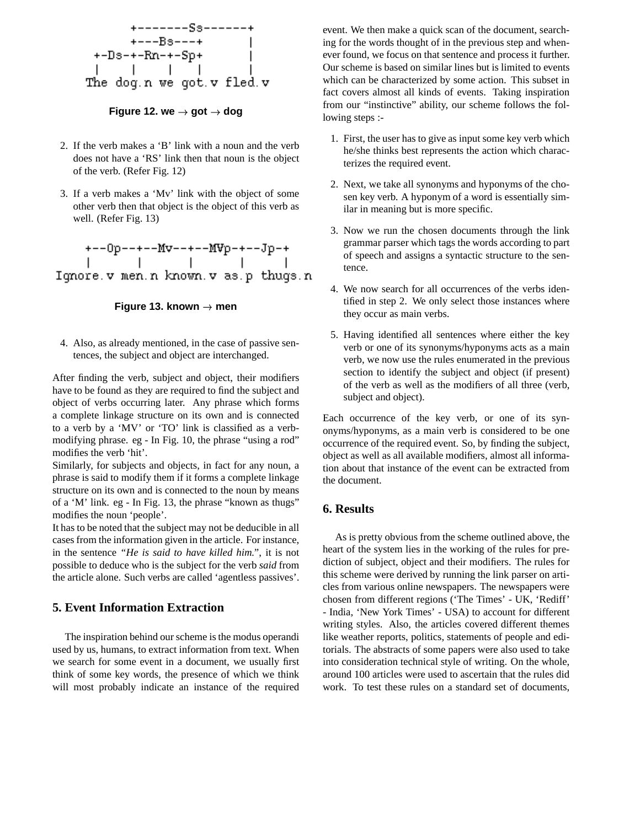

**Figure 12. we got dog**

- 2. If the verb makes a 'B' link with a noun and the verb does not have a 'RS' link then that noun is the object of the verb. (Refer Fig. 12)
- 3. If a verb makes a 'Mv' link with the object of some other verb then that object is the object of this verb as well. (Refer Fig. 13)

#### **Figure 13. known men**

4. Also, as already mentioned, in the case of passive sentences, the subject and object are interchanged.

After finding the verb, subject and object, their modifiers have to be found as they are required to find the subject and object of verbs occurring later. Any phrase which forms a complete linkage structure on its own and is connected to a verb by a 'MV' or 'TO' link is classified as a verbmodifying phrase. eg - In Fig. 10, the phrase "using a rod" modifies the verb 'hit'.

Similarly, for subjects and objects, in fact for any noun, a phrase is said to modify them if it forms a complete linkage structure on its own and is connected to the noun by means of a 'M' link. eg - In Fig. 13, the phrase "known as thugs" modifies the noun 'people'.

It has to be noted that the subject may not be deducible in all cases from the information given in the article. For instance, in the sentence *"He is said to have killed him."*, it is not possible to deduce who is the subject for the verb *said* from the article alone. Such verbs are called 'agentless passives'.

#### **5. Event Information Extraction**

The inspiration behind our scheme is the modus operandi used by us, humans, to extract information from text. When we search for some event in a document, we usually first think of some key words, the presence of which we think will most probably indicate an instance of the required event. We then make a quick scan of the document, searching for the words thought of in the previous step and whenever found, we focus on that sentence and process it further. Our scheme is based on similar lines but is limited to events which can be characterized by some action. This subset in fact covers almost all kinds of events. Taking inspiration from our "instinctive" ability, our scheme follows the following steps :-

- 1. First, the user has to give as input some key verb which he/she thinks best represents the action which characterizes the required event.
- 2. Next, we take all synonyms and hyponyms of the chosen key verb. A hyponym of a word is essentially similar in meaning but is more specific.
- 3. Now we run the chosen documents through the link grammar parser which tags the words according to part of speech and assigns a syntactic structure to the sentence.
- 4. We now search for all occurrences of the verbs identified in step 2. We only select those instances where they occur as main verbs.
- 5. Having identified all sentences where either the key verb or one of its synonyms/hyponyms acts as a main verb, we now use the rules enumerated in the previous section to identify the subject and object (if present) of the verb as well as the modifiers of all three (verb, subject and object).

Each occurrence of the key verb, or one of its synonyms/hyponyms, as a main verb is considered to be one occurrence of the required event. So, by finding the subject, object as well as all available modifiers, almost all information about that instance of the event can be extracted from the document.

### **6. Results**

As is pretty obvious from the scheme outlined above, the heart of the system lies in the working of the rules for prediction of subject, object and their modifiers. The rules for this scheme were derived by running the link parser on articles from various online newspapers. The newspapers were chosen from different regions ('The Times' - UK, 'Rediff' - India, 'New York Times' - USA) to account for different writing styles. Also, the articles covered different themes like weather reports, politics, statements of people and editorials. The abstracts of some papers were also used to take into consideration technical style of writing. On the whole, around 100 articles were used to ascertain that the rules did work. To test these rules on a standard set of documents,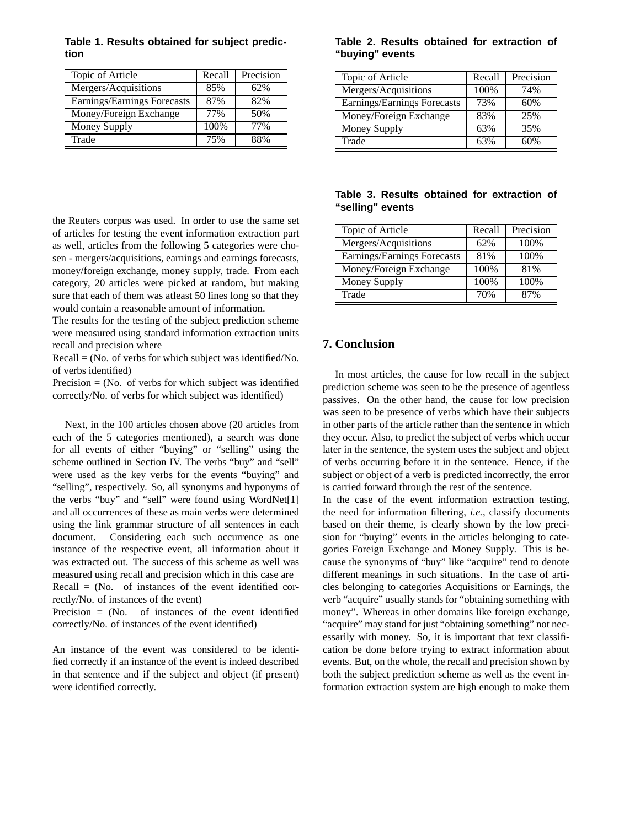| Topic of Article            | Recall | Precision |
|-----------------------------|--------|-----------|
| Mergers/Acquisitions        | 85%    | 62%       |
| Earnings/Earnings Forecasts | 87%    | 82%       |
| Money/Foreign Exchange      | 77%    | 50%       |
| Money Supply                | 100%   | 77%       |
| Trade                       | 75%    | 88%       |

**Table 1. Results obtained for subject prediction**

the Reuters corpus was used. In order to use the same set of articles for testing the event information extraction part as well, articles from the following 5 categories were chosen - mergers/acquisitions, earnings and earnings forecasts, money/foreign exchange, money supply, trade. From each category, 20 articles were picked at random, but making sure that each of them was atleast 50 lines long so that they would contain a reasonable amount of information.

The results for the testing of the subject prediction scheme were measured using standard information extraction units recall and precision where

 $Recall = (No. of verbs for which subject was identified/No.$ of verbs identified)

Precision  $=$  (No. of verbs for which subject was identified correctly/No. of verbs for which subject was identified)

Next, in the 100 articles chosen above (20 articles from each of the 5 categories mentioned), a search was done for all events of either "buying" or "selling" using the scheme outlined in Section IV. The verbs "buy" and "sell" were used as the key verbs for the events "buying" and "selling", respectively. So, all synonyms and hyponyms of the verbs "buy" and "sell" were found using WordNet[1] and all occurrences of these as main verbs were determined using the link grammar structure of all sentences in each document. Considering each such occurrence as one instance of the respective event, all information about it was extracted out. The success of this scheme as well was measured using recall and precision which in this case are Recall  $=$  (No. of instances of the event identified correctly/No. of instances of the event)

Precision  $=$  (No. of instances of the event identified correctly/No. of instances of the event identified)

An instance of the event was considered to be identified correctly if an instance of the event is indeed described in that sentence and if the subject and object (if present) were identified correctly.

#### **Table 2. Results obtained for extraction of "buying" events**

| Topic of Article            | Recall | Precision |
|-----------------------------|--------|-----------|
| Mergers/Acquisitions        | 100%   | 74%       |
| Earnings/Earnings Forecasts | 73%    | 60%       |
| Money/Foreign Exchange      | 83%    | 25%       |
| Money Supply                | 63%    | 35%       |
| Trade                       | 63%    | ናበ%       |

|  |                  |  | Table 3. Results obtained for extraction of |  |
|--|------------------|--|---------------------------------------------|--|
|  | "selling" events |  |                                             |  |

| Topic of Article            | Recall | Precision |
|-----------------------------|--------|-----------|
| Mergers/Acquisitions        | 62%    | 100%      |
| Earnings/Earnings Forecasts | 81%    | 100%      |
| Money/Foreign Exchange      | 100%   | 81%       |
| Money Supply                | 100%   | 100%      |
| Trade                       | 70%    | 87%       |

### **7. Conclusion**

In most articles, the cause for low recall in the subject prediction scheme was seen to be the presence of agentless passives. On the other hand, the cause for low precision was seen to be presence of verbs which have their subjects in other parts of the article rather than the sentence in which they occur. Also, to predict the subject of verbs which occur later in the sentence, the system uses the subject and object of verbs occurring before it in the sentence. Hence, if the subject or object of a verb is predicted incorrectly, the error is carried forward through the rest of the sentence.

In the case of the event information extraction testing, the need for information filtering, *i.e.*, classify documents based on their theme, is clearly shown by the low precision for "buying" events in the articles belonging to categories Foreign Exchange and Money Supply. This is because the synonyms of "buy" like "acquire" tend to denote different meanings in such situations. In the case of articles belonging to categories Acquisitions or Earnings, the verb "acquire" usually stands for "obtaining something with money". Whereas in other domains like foreign exchange, "acquire" may stand for just "obtaining something" not necessarily with money. So, it is important that text classification be done before trying to extract information about events. But, on the whole, the recall and precision shown by both the subject prediction scheme as well as the event information extraction system are high enough to make them